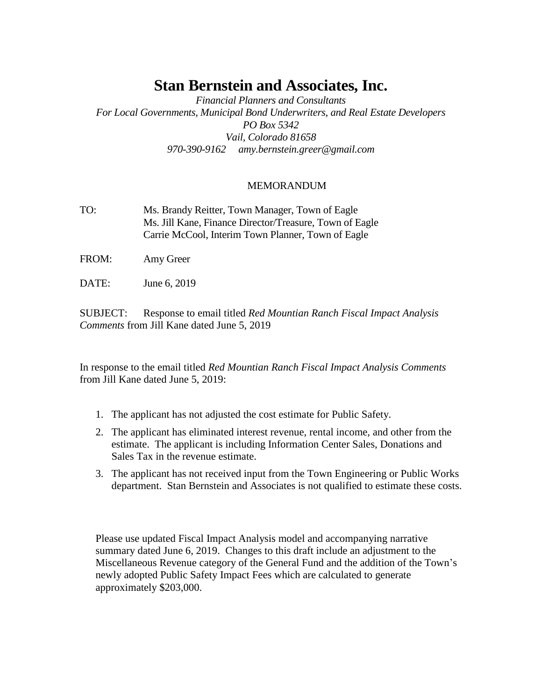# **Stan Bernstein and Associates, Inc.**

*Financial Planners and Consultants For Local Governments, Municipal Bond Underwriters, and Real Estate Developers PO Box 5342 Vail, Colorado 81658 970-390-9162 amy.bernstein.greer@gmail.com*

### MEMORANDUM

- TO: Ms. Brandy Reitter, Town Manager, Town of Eagle Ms. Jill Kane, Finance Director/Treasure, Town of Eagle Carrie McCool, Interim Town Planner, Town of Eagle
- FROM: Amy Greer
- DATE: June 6, 2019

SUBJECT: Response to email titled *Red Mountian Ranch Fiscal Impact Analysis Comments* from Jill Kane dated June 5, 2019

In response to the email titled *Red Mountian Ranch Fiscal Impact Analysis Comments* from Jill Kane dated June 5, 2019:

- 1. The applicant has not adjusted the cost estimate for Public Safety.
- 2. The applicant has eliminated interest revenue, rental income, and other from the estimate. The applicant is including Information Center Sales, Donations and Sales Tax in the revenue estimate.
- 3. The applicant has not received input from the Town Engineering or Public Works department. Stan Bernstein and Associates is not qualified to estimate these costs.

Please use updated Fiscal Impact Analysis model and accompanying narrative summary dated June 6, 2019. Changes to this draft include an adjustment to the Miscellaneous Revenue category of the General Fund and the addition of the Town's newly adopted Public Safety Impact Fees which are calculated to generate approximately \$203,000.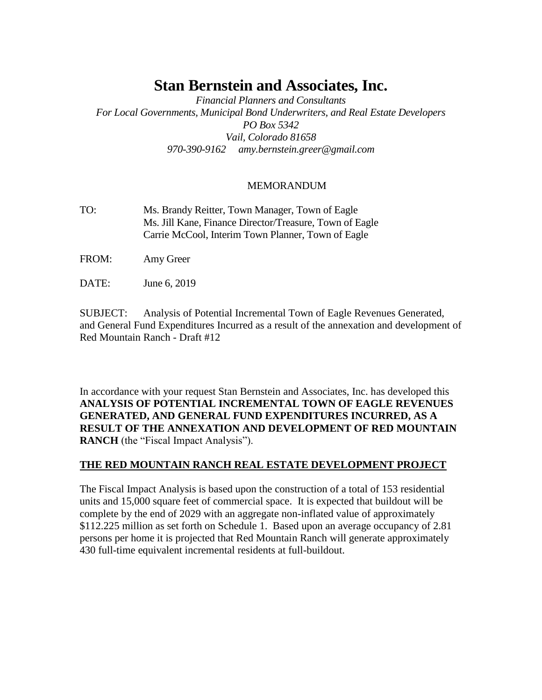# **Stan Bernstein and Associates, Inc.**

*Financial Planners and Consultants For Local Governments, Municipal Bond Underwriters, and Real Estate Developers PO Box 5342 Vail, Colorado 81658 970-390-9162 amy.bernstein.greer@gmail.com*

### MEMORANDUM

- TO: Ms. Brandy Reitter, Town Manager, Town of Eagle Ms. Jill Kane, Finance Director/Treasure, Town of Eagle Carrie McCool, Interim Town Planner, Town of Eagle
- FROM: Amy Greer
- DATE: June 6, 2019

SUBJECT: Analysis of Potential Incremental Town of Eagle Revenues Generated, and General Fund Expenditures Incurred as a result of the annexation and development of Red Mountain Ranch - Draft #12

In accordance with your request Stan Bernstein and Associates, Inc. has developed this **ANALYSIS OF POTENTIAL INCREMENTAL TOWN OF EAGLE REVENUES GENERATED, AND GENERAL FUND EXPENDITURES INCURRED, AS A RESULT OF THE ANNEXATION AND DEVELOPMENT OF RED MOUNTAIN RANCH** (the "Fiscal Impact Analysis").

### **THE RED MOUNTAIN RANCH REAL ESTATE DEVELOPMENT PROJECT**

The Fiscal Impact Analysis is based upon the construction of a total of 153 residential units and 15,000 square feet of commercial space. It is expected that buildout will be complete by the end of 2029 with an aggregate non-inflated value of approximately \$112.225 million as set forth on Schedule 1. Based upon an average occupancy of 2.81 persons per home it is projected that Red Mountain Ranch will generate approximately 430 full-time equivalent incremental residents at full-buildout.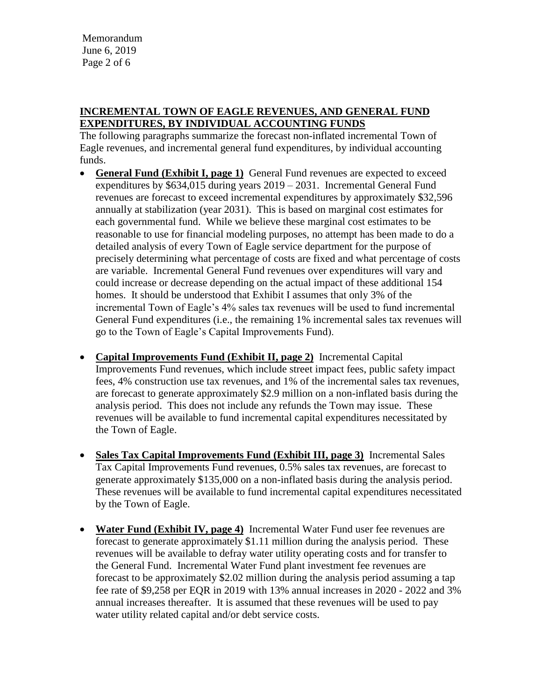Memorandum June 6, 2019 Page 2 of 6

### **INCREMENTAL TOWN OF EAGLE REVENUES, AND GENERAL FUND EXPENDITURES, BY INDIVIDUAL ACCOUNTING FUNDS**

The following paragraphs summarize the forecast non-inflated incremental Town of Eagle revenues, and incremental general fund expenditures, by individual accounting funds.

- **General Fund (Exhibit I, page 1)** General Fund revenues are expected to exceed expenditures by \$634,015 during years 2019 – 2031. Incremental General Fund revenues are forecast to exceed incremental expenditures by approximately \$32,596 annually at stabilization (year 2031). This is based on marginal cost estimates for each governmental fund. While we believe these marginal cost estimates to be reasonable to use for financial modeling purposes, no attempt has been made to do a detailed analysis of every Town of Eagle service department for the purpose of precisely determining what percentage of costs are fixed and what percentage of costs are variable. Incremental General Fund revenues over expenditures will vary and could increase or decrease depending on the actual impact of these additional 154 homes. It should be understood that Exhibit I assumes that only 3% of the incremental Town of Eagle's 4% sales tax revenues will be used to fund incremental General Fund expenditures (i.e., the remaining 1% incremental sales tax revenues will go to the Town of Eagle's Capital Improvements Fund).
- **Capital Improvements Fund (Exhibit II, page 2)** Incremental Capital Improvements Fund revenues, which include street impact fees, public safety impact fees, 4% construction use tax revenues, and 1% of the incremental sales tax revenues, are forecast to generate approximately \$2.9 million on a non-inflated basis during the analysis period. This does not include any refunds the Town may issue. These revenues will be available to fund incremental capital expenditures necessitated by the Town of Eagle.
- **Sales Tax Capital Improvements Fund (Exhibit III, page 3)** Incremental Sales Tax Capital Improvements Fund revenues, 0.5% sales tax revenues, are forecast to generate approximately \$135,000 on a non-inflated basis during the analysis period. These revenues will be available to fund incremental capital expenditures necessitated by the Town of Eagle.
- **Water Fund (Exhibit IV, page 4)** Incremental Water Fund user fee revenues are forecast to generate approximately \$1.11 million during the analysis period. These revenues will be available to defray water utility operating costs and for transfer to the General Fund. Incremental Water Fund plant investment fee revenues are forecast to be approximately \$2.02 million during the analysis period assuming a tap fee rate of \$9,258 per EQR in 2019 with 13% annual increases in 2020 - 2022 and 3% annual increases thereafter. It is assumed that these revenues will be used to pay water utility related capital and/or debt service costs.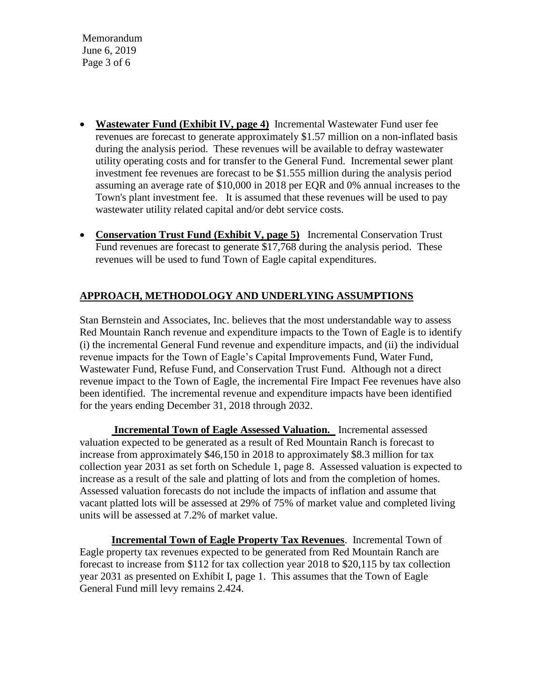Memorandum June 6, 2019 Page 3 of 6

- **Wastewater Fund (Exhibit IV, page 4)** Incremental Wastewater Fund user fee revenues are forecast to generate approximately \$1.57 million on a non-inflated basis during the analysis period. These revenues will be available to defray wastewater utility operating costs and for transfer to the General Fund. Incremental sewer plant investment fee revenues are forecast to be \$1.555 million during the analysis period assuming an average rate of \$10,000 in 2018 per EQR and 0% annual increases to the Town's plant investment fee. It is assumed that these revenues will be used to pay wastewater utility related capital and/or debt service costs.
- **Conservation Trust Fund (Exhibit V, page 5)** Incremental Conservation Trust Fund revenues are forecast to generate \$17,768 during the analysis period. These revenues will be used to fund Town of Eagle capital expenditures.

## **APPROACH, METHODOLOGY AND UNDERLYING ASSUMPTIONS**

Stan Bernstein and Associates, Inc. believes that the most understandable way to assess Red Mountain Ranch revenue and expenditure impacts to the Town of Eagle is to identify (i) the incremental General Fund revenue and expenditure impacts, and (ii) the individual revenue impacts for the Town of Eagle's Capital Improvements Fund, Water Fund, Wastewater Fund, Refuse Fund, and Conservation Trust Fund. Although not a direct revenue impact to the Town of Eagle, the incremental Fire Impact Fee revenues have also been identified. The incremental revenue and expenditure impacts have been identified for the years ending December 31, 2018 through 2032.

**Incremental Town of Eagle Assessed Valuation.** Incremental assessed valuation expected to be generated as a result of Red Mountain Ranch is forecast to increase from approximately \$46,150 in 2018 to approximately \$8.3 million for tax collection year 2031 as set forth on Schedule 1, page 8. Assessed valuation is expected to increase as a result of the sale and platting of lots and from the completion of homes. Assessed valuation forecasts do not include the impacts of inflation and assume that vacant platted lots will be assessed at 29% of 75% of market value and completed living units will be assessed at 7.2% of market value.

**Incremental Town of Eagle Property Tax Revenues**. Incremental Town of Eagle property tax revenues expected to be generated from Red Mountain Ranch are forecast to increase from \$112 for tax collection year 2018 to \$20,115 by tax collection year 2031 as presented on Exhibit I, page 1. This assumes that the Town of Eagle General Fund mill levy remains 2.424.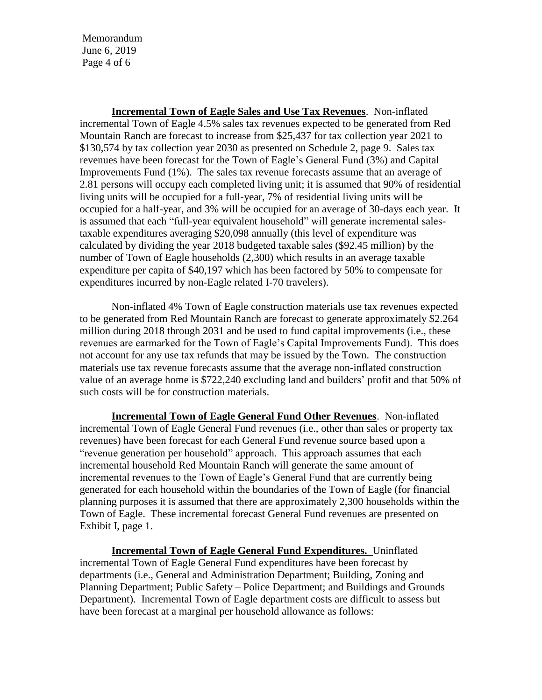Memorandum June 6, 2019 Page 4 of 6

**Incremental Town of Eagle Sales and Use Tax Revenues**. Non-inflated incremental Town of Eagle 4.5% sales tax revenues expected to be generated from Red Mountain Ranch are forecast to increase from \$25,437 for tax collection year 2021 to \$130,574 by tax collection year 2030 as presented on Schedule 2, page 9. Sales tax revenues have been forecast for the Town of Eagle's General Fund (3%) and Capital Improvements Fund (1%). The sales tax revenue forecasts assume that an average of 2.81 persons will occupy each completed living unit; it is assumed that 90% of residential living units will be occupied for a full-year, 7% of residential living units will be occupied for a half-year, and 3% will be occupied for an average of 30-days each year. It is assumed that each "full-year equivalent household" will generate incremental salestaxable expenditures averaging \$20,098 annually (this level of expenditure was calculated by dividing the year 2018 budgeted taxable sales (\$92.45 million) by the number of Town of Eagle households (2,300) which results in an average taxable expenditure per capita of \$40,197 which has been factored by 50% to compensate for expenditures incurred by non-Eagle related I-70 travelers).

Non-inflated 4% Town of Eagle construction materials use tax revenues expected to be generated from Red Mountain Ranch are forecast to generate approximately \$2.264 million during 2018 through 2031 and be used to fund capital improvements (i.e., these revenues are earmarked for the Town of Eagle's Capital Improvements Fund). This does not account for any use tax refunds that may be issued by the Town. The construction materials use tax revenue forecasts assume that the average non-inflated construction value of an average home is \$722,240 excluding land and builders' profit and that 50% of such costs will be for construction materials.

**Incremental Town of Eagle General Fund Other Revenues**. Non-inflated incremental Town of Eagle General Fund revenues (i.e., other than sales or property tax revenues) have been forecast for each General Fund revenue source based upon a "revenue generation per household" approach. This approach assumes that each incremental household Red Mountain Ranch will generate the same amount of incremental revenues to the Town of Eagle's General Fund that are currently being generated for each household within the boundaries of the Town of Eagle (for financial planning purposes it is assumed that there are approximately 2,300 households within the Town of Eagle. These incremental forecast General Fund revenues are presented on Exhibit I, page 1.

**Incremental Town of Eagle General Fund Expenditures.** Uninflated incremental Town of Eagle General Fund expenditures have been forecast by departments (i.e., General and Administration Department; Building, Zoning and Planning Department; Public Safety – Police Department; and Buildings and Grounds Department). Incremental Town of Eagle department costs are difficult to assess but have been forecast at a marginal per household allowance as follows: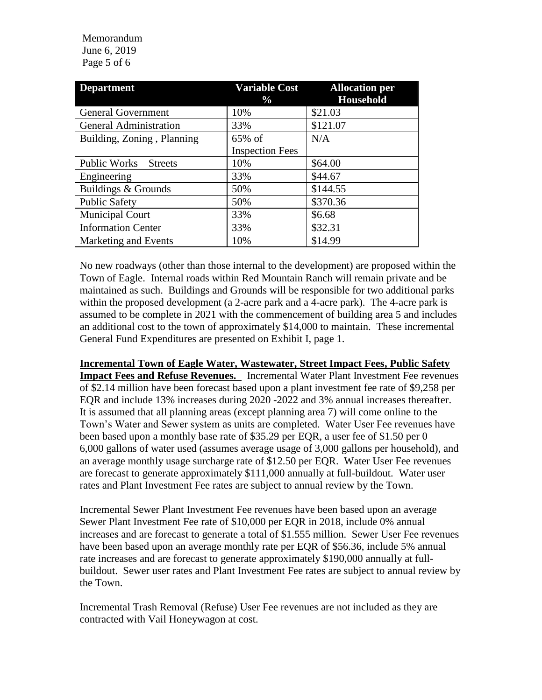### Memorandum June 6, 2019 Page 5 of 6

| <b>Department</b>             | <b>Variable Cost</b><br>$\frac{0}{0}$ | <b>Allocation per</b><br><b>Household</b> |
|-------------------------------|---------------------------------------|-------------------------------------------|
| <b>General Government</b>     | 10%                                   | \$21.03                                   |
| <b>General Administration</b> | 33%                                   | \$121.07                                  |
| Building, Zoning, Planning    | 65% of                                | N/A                                       |
|                               | <b>Inspection Fees</b>                |                                           |
| Public Works – Streets        | 10%                                   | \$64.00                                   |
| Engineering                   | 33%                                   | \$44.67                                   |
| Buildings & Grounds           | 50%                                   | \$144.55                                  |
| <b>Public Safety</b>          | 50%                                   | \$370.36                                  |
| <b>Municipal Court</b>        | 33%                                   | \$6.68                                    |
| <b>Information Center</b>     | 33%                                   | \$32.31                                   |
| Marketing and Events          | 10%                                   | \$14.99                                   |

No new roadways (other than those internal to the development) are proposed within the Town of Eagle. Internal roads within Red Mountain Ranch will remain private and be maintained as such. Buildings and Grounds will be responsible for two additional parks within the proposed development (a 2-acre park and a 4-acre park). The 4-acre park is assumed to be complete in 2021 with the commencement of building area 5 and includes an additional cost to the town of approximately \$14,000 to maintain. These incremental General Fund Expenditures are presented on Exhibit I, page 1.

### **Incremental Town of Eagle Water, Wastewater, Street Impact Fees, Public Safety**

**Impact Fees and Refuse Revenues.** Incremental Water Plant Investment Fee revenues of \$2.14 million have been forecast based upon a plant investment fee rate of \$9,258 per EQR and include 13% increases during 2020 -2022 and 3% annual increases thereafter. It is assumed that all planning areas (except planning area 7) will come online to the Town's Water and Sewer system as units are completed. Water User Fee revenues have been based upon a monthly base rate of \$35.29 per EQR, a user fee of \$1.50 per  $0-$ 6,000 gallons of water used (assumes average usage of 3,000 gallons per household), and an average monthly usage surcharge rate of \$12.50 per EQR. Water User Fee revenues are forecast to generate approximately \$111,000 annually at full-buildout. Water user rates and Plant Investment Fee rates are subject to annual review by the Town.

Incremental Sewer Plant Investment Fee revenues have been based upon an average Sewer Plant Investment Fee rate of \$10,000 per EQR in 2018, include 0% annual increases and are forecast to generate a total of \$1.555 million. Sewer User Fee revenues have been based upon an average monthly rate per EQR of \$56.36, include 5% annual rate increases and are forecast to generate approximately \$190,000 annually at fullbuildout. Sewer user rates and Plant Investment Fee rates are subject to annual review by the Town.

Incremental Trash Removal (Refuse) User Fee revenues are not included as they are contracted with Vail Honeywagon at cost.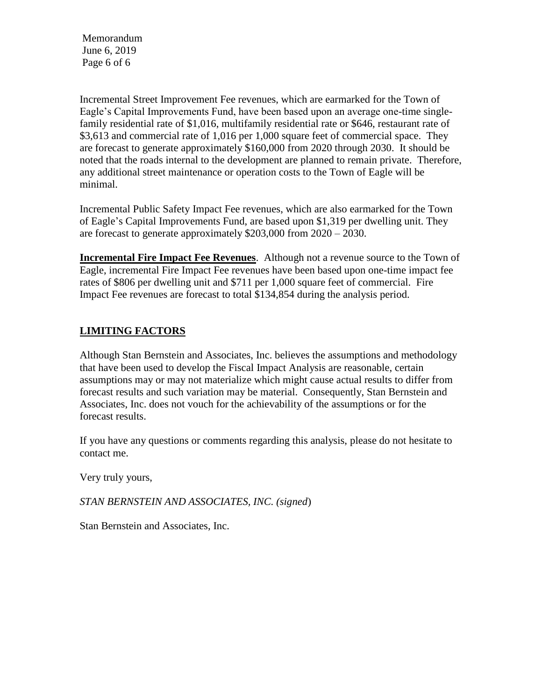Memorandum June 6, 2019 Page 6 of 6

Incremental Street Improvement Fee revenues, which are earmarked for the Town of Eagle's Capital Improvements Fund, have been based upon an average one-time singlefamily residential rate of \$1,016, multifamily residential rate or \$646, restaurant rate of \$3,613 and commercial rate of 1,016 per 1,000 square feet of commercial space. They are forecast to generate approximately \$160,000 from 2020 through 2030. It should be noted that the roads internal to the development are planned to remain private. Therefore, any additional street maintenance or operation costs to the Town of Eagle will be minimal.

Incremental Public Safety Impact Fee revenues, which are also earmarked for the Town of Eagle's Capital Improvements Fund, are based upon \$1,319 per dwelling unit. They are forecast to generate approximately \$203,000 from 2020 – 2030.

**Incremental Fire Impact Fee Revenues**. Although not a revenue source to the Town of Eagle, incremental Fire Impact Fee revenues have been based upon one-time impact fee rates of \$806 per dwelling unit and \$711 per 1,000 square feet of commercial. Fire Impact Fee revenues are forecast to total \$134,854 during the analysis period.

## **LIMITING FACTORS**

Although Stan Bernstein and Associates, Inc. believes the assumptions and methodology that have been used to develop the Fiscal Impact Analysis are reasonable, certain assumptions may or may not materialize which might cause actual results to differ from forecast results and such variation may be material. Consequently, Stan Bernstein and Associates, Inc. does not vouch for the achievability of the assumptions or for the forecast results.

If you have any questions or comments regarding this analysis, please do not hesitate to contact me.

Very truly yours,

*STAN BERNSTEIN AND ASSOCIATES, INC. (signed*)

Stan Bernstein and Associates, Inc.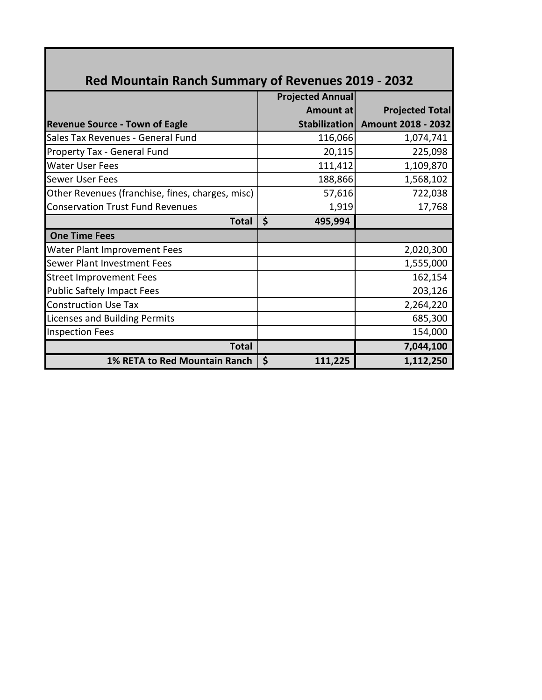| <b>Projected Annual</b> |                        |
|-------------------------|------------------------|
| Amount at               | <b>Projected Total</b> |
| Stabilization           | Amount 2018 - 2032     |
| 116,066                 | 1,074,741              |
| 20,115                  | 225,098                |
| 111,412                 | 1,109,870              |
| 188,866                 | 1,568,102              |
| 57,616                  | 722,038                |
| 1,919                   | 17,768                 |
| \$<br>495,994           |                        |
|                         |                        |
|                         | 2,020,300              |
|                         | 1,555,000              |
|                         | 162,154                |
|                         | 203,126                |
|                         | 2,264,220              |
|                         | 685,300                |
|                         | 154,000                |
|                         | 7,044,100              |
| \$<br>111,225           | 1,112,250              |
|                         |                        |

# **Red Mountain Ranch Summary of Revenues 2019 - 2032**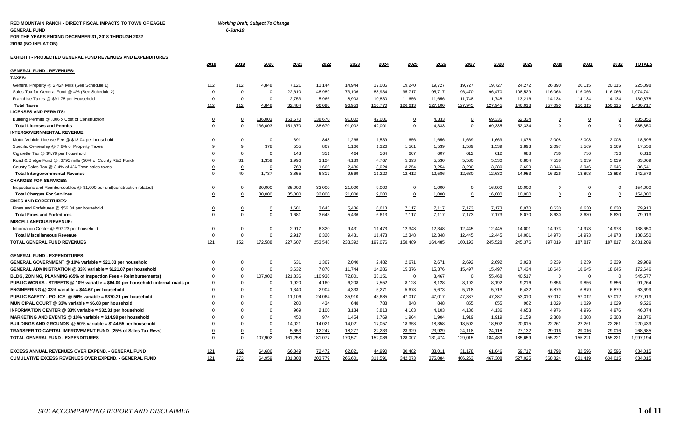### **RED MOUNTAIN RANCH - DIRECT FISCAL IMPACTS TO TOWN OF EAGLE** *Working Draft, Subject To Change* **GENERAL FUND** *6-Jun-19* **FOR THE YEARS ENDING DECEMBER 31, 2018 THROUGH 2032**

**2019\$ (NO INFLATION)**

**EXHIBIT I - PROJECTED GENERAL FUND REVENUES AND EXPENDITURES** 

|                                                                                 | 2018           | 2019           | 2020           | 2021    | 2022    | 2023    | 2024    | 2025           | 2026    | 2027           | 2028    | 2029    | 2030           | 2031           | 2032           | <b>TOTALS</b> |
|---------------------------------------------------------------------------------|----------------|----------------|----------------|---------|---------|---------|---------|----------------|---------|----------------|---------|---------|----------------|----------------|----------------|---------------|
| <b>GENERAL FUND - REVENUES:</b>                                                 |                |                |                |         |         |         |         |                |         |                |         |         |                |                |                |               |
| <b>TAXES:</b>                                                                   |                |                |                |         |         |         |         |                |         |                |         |         |                |                |                |               |
| General Property @ 2.424 Mills (See Schedule 1)                                 | 112            | 112            | 4,848          | 7,121   | 11,144  | 14,944  | 17,006  | 19,240         | 19,727  | 19,727         | 19,727  | 24,272  | 26,890         | 20,115         | 20,115         | 225,098       |
| Sales Tax for General Fund @ 4% (See Schedule 2)                                | $\Omega$       | $\Omega$       | - 0            | 22,610  | 48,989  | 73,106  | 88,934  | 95,717         | 95,717  | 96,470         | 96,470  | 108,529 | 116,066        | 116,066        | 116,066        | 1,074,741     |
| Franchise Taxes @ \$91.78 per Household                                         | $\mathbf 0$    | $\overline{0}$ | $\overline{0}$ | 2,753   | 5,966   | 8,903   | 10,830  | 11,656         | 11,656  | 11,748         | 11,748  | 13,216  | 14,134         | 14,134         | 14,134         | 130,878       |
| <b>Total Taxes</b>                                                              | 112            | 112            | 4,848          | 32,484  | 66,098  | 96,953  | 116,770 | 126,613        | 127,100 | 127,945        | 127,945 | 146,018 | 157,090        | 150,315        | 150,315        | 1,430,717     |
| <b>LICENSES AND PERMITS:</b>                                                    |                |                |                |         |         |         |         |                |         |                |         |         |                |                |                |               |
| Building Permits @ .006 x Cost of Construction                                  |                | <u>0</u>       | 136,003        | 151,670 | 138,670 | 91,002  | 42,001  | 0              | 4,333   | $\overline{0}$ | 69,335  | 52,334  | $\overline{0}$ |                | $\overline{0}$ | 685,350       |
| <b>Total Licenses and Permits</b>                                               | 0              | 0              | 136,003        | 151,670 | 138,670 | 91,002  | 42,001  | 0              | 4,333   | $\overline{0}$ | 69,335  | 52,334  | $\Omega$       | $\mathbf 0$    | $\overline{0}$ | 685,350       |
| <b>INTERGOVERNMENTAL REVENUE:</b>                                               |                |                |                |         |         |         |         |                |         |                |         |         |                |                |                |               |
| Motor Vehicle License Fee @ \$13.04 per household                               | $\Omega$       | $\Omega$       | $\Omega$       | 391     | 848     | 1,265   | 1,539   | 1,656          | 1,656   | 1,669          | 1,669   | 1,878   | 2,008          | 2,008          | 2,008          | 18,595        |
| Specific Ownership @ 7.8% of Property Taxes                                     |                | <sub>9</sub>   | 378            | 555     | 869     | 1,166   | 1,326   | 1,501          | 1,539   | 1,539          | 1,539   | 1,893   | 2,097          | 1,569          | 1,569          | 17,558        |
| Cigarette Tax @ \$4.78 per household                                            |                | $\Omega$       | $\Omega$       | 143     | 311     | 464     | 564     | 607            | 607     | 612            | 612     | 688     | 736            | 736            | 736            | 6,816         |
| Road & Bridge Fund @ .6795 mills (50% of County R&B Fund)                       |                | 31             | 1,359          | 1,996   | 3,124   | 4,189   | 4,767   | 5,393          | 5,530   | 5,530          | 5,530   | 6,804   | 7.538          | 5.639          | 5,639          | 63,069        |
| County Sales Tax @ 3.4% of 4% Town sales taxes                                  |                | $\overline{0}$ | $\overline{0}$ | 769     | 1,666   | 2,486   | 3,024   | 3,254          | 3,254   | 3,280          | 3,280   | 3,690   | 3,946          | 3,946          | 3,946          | 36,541        |
| <b>Total Intergovernmental Revenue</b>                                          | 9              | 40             | 1,737          | 3,855   | 6,817   | 9,569   | 11,220  | 12,412         | 12,586  | 12,630         | 12,630  | 14,953  | 16,326         | 13,898         | 13,898         | 142,579       |
| <b>CHARGES FOR SERVICES:</b>                                                    |                |                |                |         |         |         |         |                |         |                |         |         |                |                |                |               |
| Inspections and Reimburseables @ \$1,000 per unit(construction related)         |                | $\overline{0}$ | 30,000         | 35,000  | 32,000  | 21,000  | 9,000   | $\overline{0}$ | 1,000   | $\overline{0}$ | 16,000  | 10,000  | $\overline{0}$ | $\overline{0}$ | $\overline{0}$ | 154,000       |
| <b>Total Charges For Services</b>                                               | $\mathbf 0$    | $\Omega$       | 30,000         | 35,000  | 32,000  | 21,000  | 9,000   | $\mathbf 0$    | 1,000   | $\Omega$       | 16,000  | 10,000  | $\mathbf 0$    | 0              | $\overline{0}$ | 154,000       |
| <b>FINES AND FORFEITURES:</b>                                                   |                |                |                |         |         |         |         |                |         |                |         |         |                |                |                |               |
| Fines and Forfeitures @ \$56.04 per household                                   |                | <u>0</u>       | <u>0</u>       | 1,681   | 3,643   | 5,436   | 6,613   | 7,117          | 7,117   | 7,173          | 7,173   | 8,070   | 8,630          | 8,630          | 8,630          | 79,913        |
| <b>Total Fines and Forfeitures</b>                                              | $\Omega$       | $\Omega$       | 0              | 1,681   | 3,643   | 5,436   | 6,613   | 7,117          | 7,117   | 7.173          | 7,173   | 8,070   | 8,630          | 8,630          | 8,630          | 79,913        |
| <b>MISCELLANEOUS REVENUE:</b>                                                   |                |                |                |         |         |         |         |                |         |                |         |         |                |                |                |               |
| Information Center @ \$97.23 per household                                      | $\overline{0}$ | $\overline{0}$ | $\overline{0}$ | 2,917   | 6,320   | 9,431   | 11,473  | 12,348         | 12,348  | 12,445         | 12,445  | 14,001  | 14,973         | 14,973         | 14,973         | 138,650       |
| <b>Total Miscellaneous Revenue</b>                                              | $\overline{0}$ | $\mathbf 0$    | $\overline{0}$ | 2,917   | 6,320   | 9,431   | 11,473  | 12,348         | 12,348  | 12,445         | 12,445  | 14,001  | 14,973         | 14,973         | 14,973         | 138,650       |
| TOTAL GENERAL FUND REVENUES                                                     | 121            | 152            | 172,588        | 227,607 | 253,548 | 233,392 | 197,076 | 158,489        | 164,485 | 160,193        | 245,528 | 245,376 | 197,019        | 187,817        | 187,817        | 2,631,209     |
| <u>GENERAL FUND - EXPENDITURES:</u>                                             |                |                |                |         |         |         |         |                |         |                |         |         |                |                |                |               |
| GENERAL GOVERNMENT @ 10% variable = \$21.03 per household                       | $\Omega$       | O              | $\Omega$       | 631     | 1,367   | 2,040   | 2,482   | 2,671          | 2,671   | 2,692          | 2,692   | 3,028   | 3,239          | 3,239          | 3,239          | 29,989        |
| GENERAL ADMINISTRATION @ 33% variable = \$121.07 per household                  | $\Omega$       | $\Omega$       | $\Omega$       | 3,632   | 7,870   | 11,744  | 14,286  | 15,376         | 15,376  | 15,497         | 15,497  | 17,434  | 18,645         | 18,645         | 18,645         | 172,646       |
| BLDG, ZONING, PLANNING (65% of Inspection Fees + Reimbursements)                | $\Omega$       | $\Omega$       | 107,902        | 121,336 | 110,936 | 72,801  | 33,151  | $\overline{0}$ | 3,467   | $\overline{0}$ | 55,468  | 40,517  | - 0            | 0              | $\overline{0}$ | 545,577       |
| PUBLIC WORKS - STREETS @ 10% variable = \$64.00 per household (internal roads p |                | $\Omega$       | $\mathbf 0$    | 1,920   | 4,160   | 6,208   | 7,552   | 8,128          | 8,128   | 8,192          | 8,192   | 9,216   | 9,856          | 9,856          | 9,856          | 91,264        |
| ENGINEERING $@33\%$ variable = \$44.67 per household                            |                | $\Omega$       | $\mathbf 0$    | 1,340   | 2,904   | 4,333   | 5,271   | 5,673          | 5,673   | 5,718          | 5,718   | 6,432   | 6,879          | 6,879          | 6,879          | 63,699        |
| PUBLIC SAFETY - POLICE @ 50% variable = \$370.21 per household                  |                | $\Omega$       | $\Omega$       | 11,106  | 24,064  | 35,910  | 43,685  | 47,017         | 47,017  | 47,387         | 47,387  | 53,310  | 57,012         | 57,012         | 57,012         | 527,919       |
| MUNICIPAL COURT @ 33% variable = \$6.68 per household                           |                | $\Omega$       | $\Omega$       | 200     | 434     | 648     | 788     | 848            | 848     | 855            | 855     | 962     | 1,029          | 1,029          | 1,029          | 9,526         |
| <b>INFORMATION CENTER <math>@33\%</math> variable = \$32.31 per household</b>   |                | $\Omega$       | $\Omega$       | 969     | 2,100   | 3,134   | 3.813   | 4,103          | 4,103   | 4,136          | 4,136   | 4,653   | 4.976          | 4,976          | 4,976          | 46,074        |
| MARKETING AND EVENTS @ 10% variable = \$14.99 per household                     |                | $\Omega$       | $\Omega$       | 450     | 974     | 1,454   | 1,769   | 1,904          | 1,904   | 1,919          | 1,919   | 2,159   | 2,308          | 2,308          | 2,308          | 21,376        |
| BUILDINGS AND GROUNDS @ 50% variable = \$144.55 per household                   |                | $\Omega$       | $\mathbf 0$    | 14,021  | 14,021  | 14,021  | 17,057  | 18,358         | 18,358  | 18,502         | 18,502  | 20,815  | 22,261         | 22,261         | 22,261         | 220,439       |
| TRANSFER TO CAPITAL IMPROVEMENT FUND (25% of Sales Tax Revs)                    |                |                | $\overline{0}$ | 5,653   | 12,247  | 18,277  | 22,233  | 23,929         | 23,929  | 24,118         | 24,118  | 27,132  | 29,016         | 29,016         | 29,016         | 268,685       |
| TOTAL GENERAL FUND - EXPENDITURES                                               | 0              | 0              | 107,902        | 161,258 | 181,077 | 170,571 | 152,086 | 128,007        | 131,474 | 129,015        | 184,483 | 185,659 | 155,221        | 155,221        | 155,221        | 1,997,194     |
| EXCESS ANNUAL REVENUES OVER EXPEND. - GENERAL FUND                              | <u>121</u>     | <u>152</u>     | 64,686         | 66,349  | 72,472  | 62,821  | 44,990  | 30,482         | 33,011  | 31,178         | 61,046  | 59,717  | 41,798         | 32,596         | 32,596         | 634,015       |
| CUMULATIVE EXCESS REVENUES OVER EXPEND. - GENERAL FUND                          | 121            | 273            | 64,959         | 131,308 | 203,779 | 266.601 | 311,591 | 342,073        | 375,084 | 406,263        | 467,308 | 527,025 | 568,824        | 601,419        | 634,015        | 634,015       |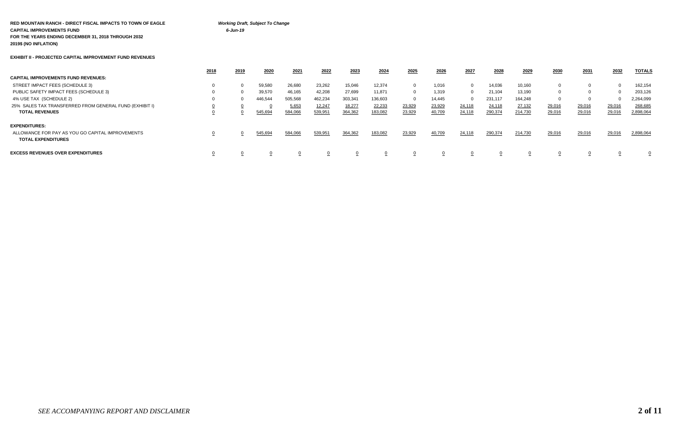#### **RED MOUNTAIN RANCH - DIRECT FISCAL IMPACTS TO TOWN OF EAGLE** *Working Draft, Subject To Change* **CAPITAL IMPROVEMENTS FUND** *6-Jun-19* **FOR THE YEARS ENDING DECEMBER 31, 2018 THROUGH 2032 2019\$ (NO INFLATION)**

#### **EXHIBIT II - PROJECTED CAPITAL IMPROVEMENT FUND REVENUES**

|                                                                               | 2018 | 2019 | 2020    | 2021    | 2022    | 2023    | 2024    | 2025     | 2026   | 2027   | 2028    | 2029    | 2030     | 2031   | 2032   | <b>TOTALS</b> |
|-------------------------------------------------------------------------------|------|------|---------|---------|---------|---------|---------|----------|--------|--------|---------|---------|----------|--------|--------|---------------|
| <b>CAPITAL IMPROVEMENTS FUND REVENUES:</b>                                    |      |      |         |         |         |         |         |          |        |        |         |         |          |        |        |               |
| STREET IMPACT FEES (SCHEDULE 3)                                               |      |      | 59,580  | 26.680  | 23,262  | 15,046  | 12,374  | 0        | 1.016  |        | 14,036  | 10.160  | $\Omega$ |        |        | 162,154       |
| PUBLIC SAFETY IMPACT FEES (SCHEDULE 3)                                        |      |      | 39,570  | 46.165  | 42,208  | 27,699  | 11,871  | 0        | 1.319  |        | 21,104  | 13.190  | $\Omega$ |        |        | 203,126       |
| 4% USE TAX (SCHEDULE 2)                                                       |      |      | 446,544 | 505,568 | 462,234 | 303,341 | 136,603 | $\Omega$ | 14,445 |        | 231,117 | 164.248 | - 0      |        |        | 2,264,099     |
| 25% SALES TAX TRANSFERRED FROM GENERAL FUND (EXHIBIT I)                       |      |      |         | 5,653   | 12,247  | 18,277  | 22,233  | 23,929   | 23,929 | 24,118 | 24,118  | 27,132  | 29,016   | 29,016 | 29,016 | 268,685       |
| <b>TOTAL REVENUES</b>                                                         |      |      | 545,694 | 584,066 | 539,951 | 364,362 | 183,082 | 23,929   | 40,709 | 24,118 | 290,374 | 214,730 | 29,016   | 29,016 | 29,016 | 2,898,064     |
| <b>EXPENDITURES:</b>                                                          |      |      |         |         |         |         |         |          |        |        |         |         |          |        |        |               |
| ALLOWANCE FOR PAY AS YOU GO CAPITAL IMPROVEMENTS<br><b>TOTAL EXPENDITURES</b> |      |      | 545,694 | 584,066 | 539,951 | 364,362 | 183,082 | 23,929   | 40,709 | 24,118 | 290,374 | 214,730 | 29,016   | 29,016 | 29,016 | 2,898,064     |
| <b>EXCESS REVENUES OVER EXPENDITURES</b>                                      |      |      |         |         |         |         |         |          |        |        |         |         |          |        |        |               |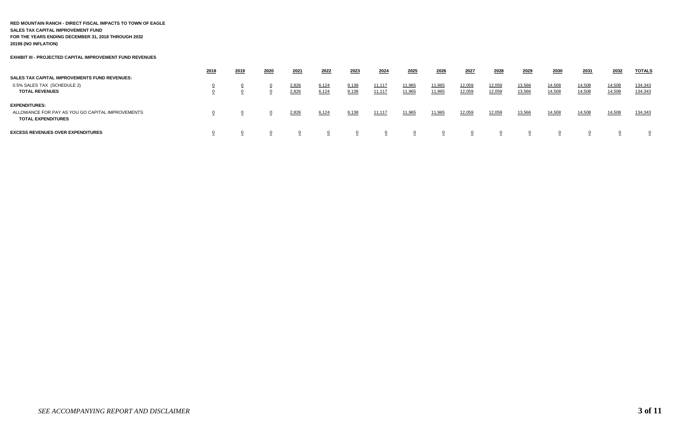#### **RED MOUNTAIN RANCH - DIRECT FISCAL IMPACTS TO TOWN OF EAGLE SALES TAX CAPITAL IMPROVEMENT FUND FOR THE YEARS ENDING DECEMBER 31, 2018 THROUGH 2032 2019\$ (NO INFLATION)**

**EXHIBIT III - PROJECTED CAPITAL IMPROVEMENT FUND REVENUES**

|                                                                                                       | 2018 | 2019 | 2020 | 2021           | 2022           | 2023           | 2024             | 2025             | 2026             | 2027             | 2028             | 2029             | 2030             | 2031             | 2032             | <b>TOTALS</b>      |
|-------------------------------------------------------------------------------------------------------|------|------|------|----------------|----------------|----------------|------------------|------------------|------------------|------------------|------------------|------------------|------------------|------------------|------------------|--------------------|
| <b>SALES TAX CAPITAL IMPROVEMENTS FUND REVENUES:</b><br>0.5% SALES TAX (SCHEDULE 2)                   |      |      |      |                |                |                |                  |                  |                  |                  |                  |                  |                  |                  |                  |                    |
| <b>TOTAL REVENUES</b>                                                                                 |      |      |      | 2,826<br>2,826 | 6,124<br>6,124 | 9,138<br>9,138 | 11,117<br>11,117 | 11,965<br>11,965 | 11,965<br>11,965 | 12,059<br>12,059 | 12,059<br>12,059 | 13,566<br>13,566 | 14,508<br>14,508 | 14,508<br>14,508 | 14,508<br>14,508 | 134,343<br>134,343 |
| <b>EXPENDITURES:</b><br>ALLOWANCE FOR PAY AS YOU GO CAPITAL IMPROVEMENTS<br><b>TOTAL EXPENDITURES</b> |      |      |      | 2,826          | 6,124          | 9,138          | 11, 11           | 11,965           | 11,965           | 12,059           | 12,059           | 13,566           | 14,508           | 14,508           | 14,508           | 134,343            |
| <b>EXCESS REVENUES OVER EXPENDITURES</b>                                                              |      |      |      |                |                |                |                  |                  |                  |                  |                  |                  |                  |                  |                  | $\Omega$           |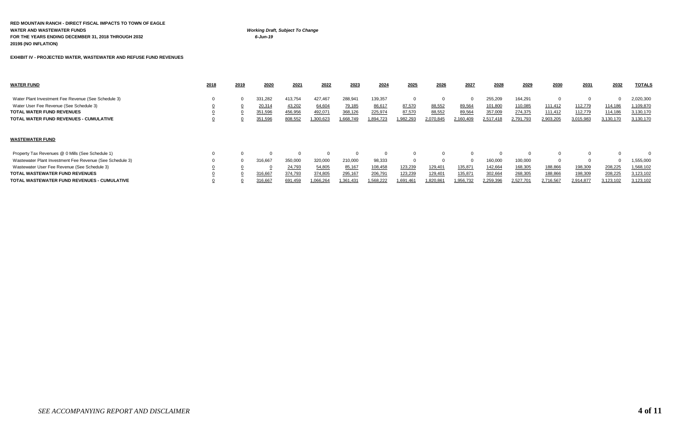| RED MOUNTAIN RANCH - DIRECT FISCAL IMPACTS TO TOWN OF EAGLE |                                         |
|-------------------------------------------------------------|-----------------------------------------|
| WATER AND WASTEWATER FUNDS                                  | <b>Working Draft, Subject To Change</b> |
| FOR THE YEARS ENDING DECEMBER 31. 2018 THROUGH 2032         | 6-Jun-19                                |
| 2019\$ (NO INFLATION)                                       |                                         |

**EXHIBIT IV - PROJECTED WATER, WASTEWATER AND REFUSE FUND REVENUES** 

| <b>WATER FUND</b>                                        | 2018 | 2019 | 2020    | 2021    | 2022      | 2023     | 2024      | 2025      | 2026                | 2027      | 2028      | 2029      | 2030      | 2031      | 2032      | <b>TOTALS</b> |
|----------------------------------------------------------|------|------|---------|---------|-----------|----------|-----------|-----------|---------------------|-----------|-----------|-----------|-----------|-----------|-----------|---------------|
| Water Plant Investment Fee Revenue (See Schedule 3)      |      |      | 331,282 | 413,754 | 427,467   | 288,941  | 139,357   |           |                     |           | 255,209   | 164,291   | 0         | 0         | 0         | 2,020,300     |
| Water User Fee Revenue (See Schedule 3)                  |      |      | 20,314  | 43,202  | 64,604    | 79,185   | 86,617    | 87,570    | 88,552              | 89,564    | 101,800   | 110,085   | 111,412   | 112,779   | 114,186   | ,109,870      |
| <b>TOTAL WATER FUND REVENUES</b>                         |      |      | 351,596 | 456,956 | 492,071   | 368,126  | 225,974   | 87,570    | 88,552              | 89,564    | 357,009   | 274,375   | 111,412   | 112,779   | 114,186   | 3,130,170     |
| TOTAL WATER FUND REVENUES - CUMULATIVE                   |      |      | 351,596 | 808,552 | 1,300,623 | ,668,749 | 1,894,723 | 1,982,293 | 2,070,845           | 2,160,409 | 2,517,418 | 2,791,793 | 2,903,205 | 3,015,983 | 3,130,170 | 3,130,170     |
| <b>WASTEWATER FUND</b>                                   |      |      |         |         |           |          |           |           |                     |           |           |           |           |           |           |               |
| Property Tax Revenues @ 0 Mills (See Schedule 1)         |      |      |         |         |           |          | $\Omega$  |           |                     |           |           |           | $\Omega$  |           |           |               |
| Wastewater Plant Investment Fee Revenue (See Schedule 3) |      |      | 316,667 | 350,000 | 320,000   | 210,000  | 98,333    |           |                     |           | 160,000   | 100,000   | 0         |           | 0         | 555,000       |
| Wastewater User Fee Revenue (See Schedule 3)             |      |      |         | 24,793  | 54,805    | 85,167   | 108,458   | 123,239   | 129,401             | 135,87    | 142,664   | 168,305   | 188,866   | 198,309   | 208,225   | 1,568,102     |
| <b>TOTAL WASTEWATER FUND REVENUES</b>                    |      |      | 316,667 | 374,793 | 374,805   | 295,167  | 206,791   | 123,239   | 129,401             | 135,87'   | 302,664   | 268,305   | 188,866   | 198,309   | 208,225   | 3,123,102     |
| TOTAL WASTEWATER FUND REVENUES - CUMULATIVE              |      |      | 316,667 | 691,459 | 1,066,264 | ,361,431 | 568,222   | 1,691,461 | 820,86 <sup>*</sup> | 1,956,732 | 2,259,396 | 2,527,701 | 2,716,567 | 2,914,877 | 3,123,102 | 3,123,102     |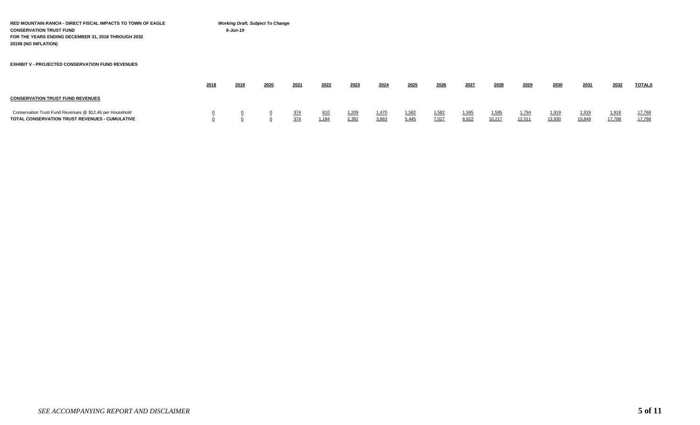**RED MOUNTAIN RANCH - DIRECT FISCAL IMPACTS TO TOWN OF EAGLE** *Working Draft, Subject To Change* **CONSERVATION TRUST FUND** *6-Jun-19* **FOR THE YEARS ENDING DECEMBER 31, 2018 THROUGH 2032 2019\$ (NO INFLATION)**

**EXHIBIT V - PROJECTED CONSERVATION FUND REVENUES**

|                                                                                                            | 2018 | 2019 | 2020 | 2021       | 2022        | 2023           | 2024          | 2025           | 2026          | 2027                  | 2028            | 2029            | 2030            | 2031            | 2032            | <b>TOTALS</b>    |
|------------------------------------------------------------------------------------------------------------|------|------|------|------------|-------------|----------------|---------------|----------------|---------------|-----------------------|-----------------|-----------------|-----------------|-----------------|-----------------|------------------|
| <b>CONSERVATION TRUST FUND REVENUES</b>                                                                    |      |      |      |            |             |                |               |                |               |                       |                 |                 |                 |                 |                 |                  |
| Conservation Trust Fund Revenues @ \$12.46 per Household<br>TOTAL CONSERVATION TRUST REVENUES - CUMULATIVE |      |      |      | 374<br>374 | --<br>1.184 | 1,209<br>2,392 | .470<br>3.863 | 1,582<br>5.445 | ,582<br>7.027 | <u>1,595</u><br>8,622 | 1,595<br>10,217 | 1.794<br>12.011 | 1.919<br>13.930 | 1,919<br>15,849 | 1,919<br>17.768 | 17,768<br>17,768 |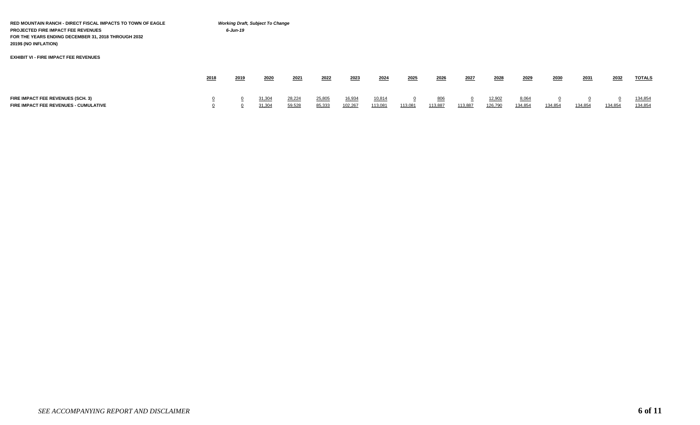| RED MOUNTAIN RANCH - DIRECT FISCAL IMPACTS TO TOWN OF EAGLE<br>PROJECTED FIRE IMPACT FEE REVENUES<br>FOR THE YEARS ENDING DECEMBER 31, 2018 THROUGH 2032<br>2019\$ (NO INFLATION) |      | 6-Jun-19 | <b>Working Draft, Subject To Change</b> |                  |                  |                   |                   |                           |                |         |                   |                  |         |         |         |                    |
|-----------------------------------------------------------------------------------------------------------------------------------------------------------------------------------|------|----------|-----------------------------------------|------------------|------------------|-------------------|-------------------|---------------------------|----------------|---------|-------------------|------------------|---------|---------|---------|--------------------|
| <b>EXHIBIT VI - FIRE IMPACT FEE REVENUES</b>                                                                                                                                      |      |          |                                         |                  |                  |                   |                   |                           |                |         |                   |                  |         |         |         |                    |
|                                                                                                                                                                                   | 2018 | 2019     | 2020                                    | 2021             | 2022             | 2023              | 2024              | 2025                      | 2026           | 2027    | 2028              | 2029             | 2030    | 2031    | 2032    | <b>TOTALS</b>      |
| FIRE IMPACT FEE REVENUES (SCH. 3)<br>FIRE IMPACT FEE REVENUES - CUMULATIVE                                                                                                        |      |          | 31,304<br>31,304                        | 28,224<br>59,528 | 25,805<br>85,333 | 16,934<br>102,267 | 10,814<br>113,081 | $\overline{0}$<br>113,081 | 806<br>113,887 | 113,887 | 12,902<br>126,790 | 8,064<br>134,854 | 134,854 | 134,854 | 134,854 | 134,854<br>134,854 |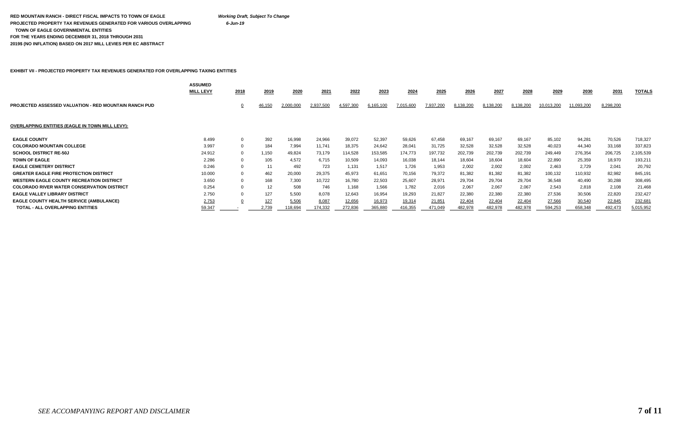#### **RED MOUNTAIN RANCH - DIRECT FISCAL IMPACTS TO TOWN OF EAGLE** *Working Draft, Subject To Change* **PROJECTED PROPERTY TAX REVENUES GENERATED FOR VARIOUS OVERLAPPING** *6-Jun-19*  **TOWN OF EAGLE GOVERNMENTAL ENTITIES FOR THE YEARS ENDING DECEMBER 31, 2018 THROUGH 2031 2019\$ (NO INFLATION) BASED ON 2017 MILL LEVIES PER EC ABSTRACT**

**EXHIBIT VII - PROJECTED PROPERTY TAX REVENUES GENERATED FOR OVERLAPPING TAXING ENTITIES**

|                                                              | <b>ASSUMED</b><br><b>MILL LEVY</b> | 2018 | 2019       | 2020      | 2021      | 2022      | 2023      | 2024      | 2025      | 2026      | 2027      | 2028      | 2029       | 2030       | 2031      | <b>TOTALS</b> |
|--------------------------------------------------------------|------------------------------------|------|------------|-----------|-----------|-----------|-----------|-----------|-----------|-----------|-----------|-----------|------------|------------|-----------|---------------|
| <b>PROJECTED ASSESSED VALUATION - RED MOUNTAIN RANCH PUD</b> |                                    |      | 46,150     | 2,000,000 | 2,937,500 | 4,597,300 | 6,165,100 | 7,015,600 | 7,937,200 | 8,138,200 | 8,138,200 | 8,138,200 | 10,013,200 | 11,093,200 | 8,298,200 |               |
| <b>OVERLAPPING ENTITIES (EAGLE IN TOWN MILL LEVY):</b>       |                                    |      |            |           |           |           |           |           |           |           |           |           |            |            |           |               |
| <b>EAGLE COUNTY</b>                                          | 8.499                              |      | 392        | 16,998    | 24,966    | 39,072    | 52,397    | 59,626    | 67,458    | 69,167    | 69,167    | 69,167    | 85,102     | 94.281     | 70,526    | 718,327       |
| <b>COLORADO MOUNTAIN COLLEGE</b>                             | 3.997                              |      | 184        | 7,994     | 11,741    | 18,375    | 24.642    | 28,041    | 31,725    | 32,528    | 32,528    | 32,528    | 40,023     | 44,340     | 33,168    | 337,823       |
| <b>SCHOOL DISTRICT RE-50J</b>                                | 24.912                             |      | 1,150      | 49.824    | 73,179    | 114,528   | 153,585   | 174,773   | 197,732   | 202,739   | 202,739   | 202,739   | 249,449    | 276,354    | 206,725   | 2,105,539     |
| <b>TOWN OF EAGLE</b>                                         | 2.286                              |      | 105        | 4.572     | 6,715     | 10,509    | 14.093    | 16,038    | 18,144    | 18.604    | 18,604    | 18,604    | 22,890     | 25,359     | 18,970    | 193,211       |
| <b>EAGLE CEMETERY DISTRICT</b>                               | 0.246                              |      | 11         | 492       | 723       | 1,131     | 1.517     | 1.726     | 1,953     | 2.002     | 2,002     | 2,002     | 2.463      | 2.729      | 2,041     | 20,792        |
| <b>GREATER EAGLE FIRE PROTECTION DISTRICT</b>                | 10.000                             |      | 462        | 20,000    | 29,375    | 45,973    | 61,651    | 70,156    | 79,372    | 81.382    | 81,382    | 81,382    | 100,132    | 110,932    | 82,982    | 845,191       |
| <b>WESTERN EAGLE COUNTY RECREATION DISTRICT</b>              | 3.650                              |      | 168        | 7.300     | 10,722    | 16.780    | 22.503    | 25,607    | 28,971    | 29.704    | 29,704    | 29,704    | 36,548     | 40,490     | 30,288    | 308,495       |
| <b>COLORADO RIVER WATER CONSERVATION DISTRICT</b>            | 0.254                              |      | 12         | 508       | 746       | 1,168     | 1,566     | 1,782     | 2,016     | 2,067     | 2,067     | 2,067     | 2,543      | 2,818      | 2,108     | 21,468        |
| <b>EAGLE VALLEY LIBRARY DISTRICT</b>                         | 2.750                              |      | 127        | 5,500     | 8,078     | 12.643    | 16.954    | 19,293    | 21.827    | 22.380    | 22,380    | 22,380    | 27.536     | 30,506     | 22,820    | 232,427       |
| <b>EAGLE COUNTY HEALTH SERVICE (AMBULANCE)</b>               | 2.753                              |      | <u>127</u> | 5,506     | 8,087     | 12,656    | 16,973    | 19,314    | 21,851    | 22,404    | 22,404    | 22,404    | 27,566     | 30,540     | 22,845    | 232,681       |
| TOTAL - ALL OVERLAPPING ENTITIES                             | 59.347                             |      | 2.739      | 118,694   | 174,332   | 272,836   | 365,880   | 416,355   | 471.049   | 482.978   | 482.978   | 482,978   | 594,253    | 658,348    | 492.473   | 5,015,952     |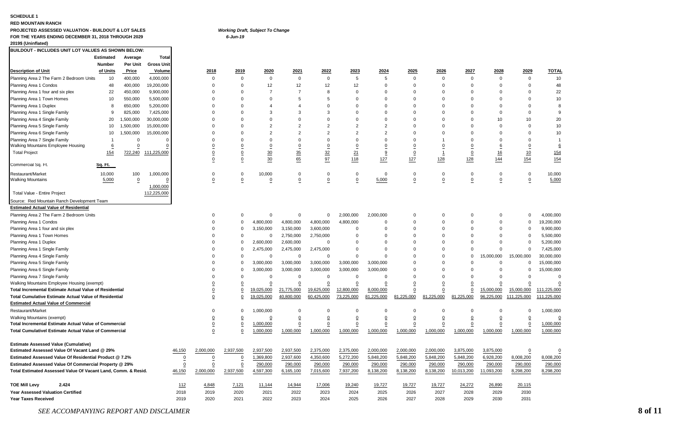#### **SCHEDULE 1**

#### **RED MOUNTAIN RANCH**

### **PROJECTED ASSESSED VALUATION - BUILDOUT & LOT SALES** *Working Draft, Subject To Change* **FOR THE YEARS ENDING DECEMBER 31, 2018 THROUGH 2029** *6-Jun-19*

#### **2019\$ (Uninflated)**

| BUILDOUT - INCLUDES UNIT LOT VALUES AS SHOWN BELOW:           |               |             |                   |                  |                |                  |                |                |                |                |                  |                |                |             |                  |                |                |
|---------------------------------------------------------------|---------------|-------------|-------------------|------------------|----------------|------------------|----------------|----------------|----------------|----------------|------------------|----------------|----------------|-------------|------------------|----------------|----------------|
|                                                               | Estimated     | Average     | Total             |                  |                |                  |                |                |                |                |                  |                |                |             |                  |                |                |
|                                                               | <b>Number</b> | Per Unit    | <b>Gross Unit</b> |                  |                |                  |                |                |                |                |                  |                |                |             |                  |                |                |
| <b>Description of Unit</b>                                    | of Units      | Price       | Volume            |                  | 2018           | 2019             | 2020           | 2021           | 2022           | 2023           | <u>2024</u>      | 2025           | 2026           | 2027        | 2028             | 2029           | <b>TOTAL</b>   |
| Planning Area 2 The Farm 2 Bedroom Units                      | 10            | 400,000     | 4,000,000         |                  | 0              | $\Omega$         | $\mathbf 0$    | $\Omega$       | $\mathbf 0$    | 5              | 5                | $\mathbf 0$    | $\mathbf 0$    | $\mathbf 0$ | $\overline{0}$   | $\mathbf 0$    | 10             |
| Planning Area 1 Condos                                        | 48            | 400,000     | 19,200,000        |                  | 0              | $\Omega$         | 12             | 12             | 12             | 12             | $\Omega$         | $\Omega$       | $\mathbf 0$    | $\Omega$    | $\Omega$         | $\Omega$       | 48             |
| Planning Area 1 four and six plex                             | 22            | 450,000     | 9,900,000         |                  | $\Omega$       | $\Omega$         | 7              | $\overline{7}$ | 8              | $\Omega$       | $\Omega$         | $\Omega$       | $\Omega$       | $\Omega$    | $\Omega$         | $\Omega$       | 22             |
| Planning Area 1 Town Homes                                    | 10            | 550,000     | 5,500,000         |                  | $\Omega$       | $\Omega$         | $\Omega$       | 5              | 5              | $\Omega$       | $\Omega$         | $\Omega$       | $\Omega$       | $\Omega$    | $\Omega$         | $\Omega$       | 10             |
| Planning Area 1 Duplex                                        | 8             | 650,000     | 5,200,000         |                  | $\Omega$       | $\Omega$         | 4              | $\overline{4}$ | $\Omega$       | $\Omega$       | $\Omega$         | $\Omega$       | $\mathbf 0$    | $\Omega$    | $\Omega$         | $\Omega$       | 8              |
| Planning Area 1 Single Family                                 | 9             | 825,000     | 7,425,000         |                  | $\Omega$       | $\Omega$         | 3              | 3              | 3              | $\Omega$       | $\Omega$         | $\Omega$       | $\Omega$       | $\Omega$    | $\Omega$         | $\mathbf 0$    | 9              |
| Planning Area 4 Single Family                                 | 20            | 1,500,000   | 30,000,000        |                  | 0              | $\Omega$         | $\Omega$       | $\Omega$       | $\Omega$       | $\Omega$       | $\mathbf 0$      | $\Omega$       | $\mathbf 0$    | $\Omega$    | 10               | 10             | 20             |
| Planning Area 5 Single Family                                 | 10            | 1,500,000   | 15,000,000        |                  | $\Omega$       | $\Omega$         | 2              | $\overline{2}$ | $\overline{2}$ | $\overline{2}$ | $\overline{2}$   | $\Omega$       | $\Omega$       | $\Omega$    | $\Omega$         | $\Omega$       | 10             |
| Planning Area 6 Single Family                                 | 10            | 1,500,000   | 15,000,000        |                  | $\Omega$       | $\Omega$         | $\overline{c}$ | $\overline{2}$ | $\overline{2}$ | $\overline{2}$ | $\overline{2}$   | $\Omega$       | $\Omega$       | $\Omega$    | $\Omega$         | $\Omega$       | 10             |
| Planning Area 7 Single Family                                 |               | $\Omega$    | $\Omega$          |                  | $\Omega$       | $\Omega$         | $\Omega$       | $\Omega$       | $\Omega$       | $\Omega$       | $\Omega$         | $\Omega$       | -1             | $\Omega$    | $\Omega$         | $\Omega$       | $\overline{1}$ |
| Walking Mountains Employee Housing                            | 6             | $\mathbf 0$ | C                 |                  | 0              | $\Omega$         | 0              | 0              | $\Omega$       | $\Omega$       | $\boldsymbol{0}$ | 0              | 0              | 0           | 6                | 0              | 6              |
| <b>Total Project</b>                                          | 154           | 722,240     | 111,225,000       |                  | 0              | 0                | $\frac{30}{5}$ | 35             | $\frac{32}{5}$ | 21             | 9                | 0              | $\mathbf{1}$   | $\mathbf 0$ | 16               | 10             | 154            |
|                                                               |               |             |                   |                  | 0              | 0                | 30             | 65             | 97             | 118            | 127              | 127            | 128            | 128         | 144              | 154            | 154            |
| Commercial Sq. Ft.                                            | Sq. Ft.       |             |                   |                  |                |                  |                |                |                |                |                  |                |                |             |                  |                |                |
| Restaurant/Market                                             | 10,000        | 100         | 1,000,000         |                  | $\mathbf 0$    | $\mathbf 0$      | 10,000         | $\Omega$       | $\Omega$       | $\Omega$       | $\overline{0}$   | $\Omega$       | $\mathbf 0$    | $\Omega$    | $\mathbf 0$      | $\mathbf 0$    | 10,000         |
| <b>Walking Mountains</b>                                      | 5,000         | 0           | C                 |                  | 0              | 0                | 0              | 0              | 0              | 0              | 5,000            | 0              | 0              | 0           | $\boldsymbol{0}$ | $\overline{0}$ | 5,000          |
|                                                               |               |             | 1,000,000         |                  |                |                  |                |                |                |                |                  |                |                |             |                  |                |                |
| Total Value - Entire Project                                  |               |             | 112,225,000       |                  |                |                  |                |                |                |                |                  |                |                |             |                  |                |                |
| Source: Red Mountain Ranch Development Team                   |               |             |                   |                  |                |                  |                |                |                |                |                  |                |                |             |                  |                |                |
| <b>Estimated Actual Value of Residential</b>                  |               |             |                   |                  |                |                  |                |                |                |                |                  |                |                |             |                  |                |                |
| Planning Area 2 The Farm 2 Bedroom Units                      |               |             |                   |                  | 0              | 0                | $\mathbf 0$    | $\mathbf 0$    | 0              | 2,000,000      | 2,000,000        | $\mathbf 0$    | $\mathbf 0$    | 0           | $\mathbf 0$      | $\mathbf 0$    | 4,000,000      |
| Planning Area 1 Condos                                        |               |             |                   |                  | $\Omega$       | $\Omega$         | 4,800,000      | 4,800,000      | 4,800,000      | 4,800,000      | $\mathbf 0$      | $\Omega$       | $\Omega$       | $\Omega$    | $\mathbf 0$      | $\mathbf 0$    | 19,200,000     |
| Planning Area 1 four and six plex                             |               |             |                   |                  | 0              | $\mathbf 0$      | 3,150,000      | 3,150,000      | 3,600,000      | $\Omega$       | $\mathbf 0$      | $\Omega$       | $\mathbf 0$    | $\Omega$    | $\mathbf 0$      | $\mathbf 0$    | 9,900,000      |
| Planning Area 1 Town Homes                                    |               |             |                   |                  | $\Omega$       | $\Omega$         | $\mathbf 0$    | 2,750,000      | 2,750,000      | $\Omega$       | $\Omega$         | $\Omega$       | $\Omega$       | $\Omega$    | $\Omega$         | $\mathbf 0$    | 5,500,000      |
| Planning Area 1 Duplex                                        |               |             |                   |                  | $\Omega$       | $\mathbf 0$      | 2,600,000      | 2,600,000      | $\Omega$       | $\Omega$       | $\Omega$         | $\Omega$       | $\Omega$       | $\Omega$    | $\Omega$         | $\Omega$       | 5,200,000      |
| Planning Area 1 Single Family                                 |               |             |                   |                  | $\Omega$       | $\Omega$         | 2,475,000      | 2,475,000      | 2,475,000      | $\Omega$       | $\Omega$         | $\Omega$       | $\Omega$       | $\Omega$    | $\Omega$         | $\Omega$       | 7,425,000      |
| Planning Area 4 Single Family                                 |               |             |                   |                  | $\Omega$       | $\Omega$         | $\Omega$       | $\Omega$       | $\Omega$       | $\Omega$       | $\Omega$         | $\Omega$       | $\Omega$       | $\Omega$    | 15,000,000       | 15,000,000     | 30,000,000     |
| Planning Area 5 Single Family                                 |               |             |                   |                  | $\Omega$       | $\Omega$         | 3,000,000      | 3,000,000      | 3,000,000      | 3,000,000      | 3,000,000        | $\Omega$       | $\Omega$       | $\Omega$    | $\mathbf 0$      | $\Omega$       | 15,000,000     |
| Planning Area 6 Single Family                                 |               |             |                   |                  | $\Omega$       | $\Omega$         | 3,000,000      | 3,000,000      | 3,000,000      | 3,000,000      | 3,000,000        | $\Omega$       | $\Omega$       | $\Omega$    | $\mathbf 0$      | $\mathbf 0$    | 15,000,000     |
| Planning Area 7 Single Family                                 |               |             |                   |                  | $\Omega$       | $\Omega$         | $\mathbf 0$    | $\mathbf 0$    | $\mathbf 0$    | $\Omega$       | $\Omega$         | $\Omega$       | $\Omega$       | $\Omega$    | $\Omega$         | $\mathbf 0$    | $\Omega$       |
| Walking Mountains Employee Housing (exempt)                   |               |             |                   |                  | $\overline{0}$ | $\mathbf 0$      | 0              | $\mathbf 0$    | $\overline{0}$ | 0              | $\overline{0}$   | 0              | $\overline{0}$ | 0           | $\mathbf 0$      | $\overline{0}$ | $\mathbf 0$    |
| Total Incremental Estimate Actual Value of Residential        |               |             |                   |                  | $\overline{0}$ | $\overline{0}$   | 19,025,000     | 21,775,000     | 19,625,000     | 12,800,000     | 8,000,000        | $\mathbf 0$    | 0              | 0           | 15,000,000       | 15,000,000     | 111,225,000    |
| <b>Total Cumulative Estimate Actual Value of Residential</b>  |               |             |                   |                  | $\overline{0}$ | 0                | 19,025,000     | 40,800,000     | 60,425,000     | 73,225,000     | 81,225,000       | 81,225,000     | 81,225,000     | 81,225,000  | 96,225,000       | 111,225,000    | 111,225,000    |
| <b>Estimated Actual Value of Commercial</b>                   |               |             |                   |                  |                |                  |                |                |                |                |                  |                |                |             |                  |                |                |
| Restaurant/Market                                             |               |             |                   |                  | $\Omega$       | $\Omega$         | 1,000,000      | $\Omega$       | 0              | $\Omega$       | $\Omega$         | $\Omega$       | $\Omega$       | $\Omega$    | $\Omega$         | $\Omega$       | 1,000,000      |
| <b>Walking Mountains (exempt)</b>                             |               |             |                   |                  | $\overline{0}$ | 0                | $\overline{0}$ | $\overline{0}$ | $\overline{0}$ | 0              | $\overline{0}$   | $\overline{0}$ | $\Omega$       | $\Omega$    | $\overline{0}$   | $\overline{0}$ | $\overline{0}$ |
| <b>Total Incremental Estimate Actual Value of Commercial</b>  |               |             |                   |                  | $\overline{0}$ | $\overline{0}$   | 1,000,000      | 0              | 0              | 0              | 0                | 0              | $\overline{0}$ | $\Omega$    | $\overline{0}$   | $\overline{0}$ | 1,000,000      |
| <b>Total Cumulativel Estimate Actual Value of Commercial</b>  |               |             |                   |                  | 0              | $\mathbf 0$      | 1,000,000      | 1,000,000      | 1,000,000      | 1,000,000      | 1,000,000        | 1,000,000      | 1,000,000      | 1,000,000   | 1,000,000        | 1,000,000      | 1,000,000      |
|                                                               |               |             |                   |                  |                |                  |                |                |                |                |                  |                |                |             |                  |                |                |
| <b>Estimate Assessed Value (Cumulative)</b>                   |               |             |                   |                  |                |                  |                |                |                |                |                  |                |                |             |                  |                |                |
| Estimated Assessed Value Of Vacant Land @ 29%                 |               |             |                   | 46,150           | 2,000,000      | 2,937,500        | 2,937,500      | 2,937,500      | 2,375,000      | 2,375,000      | 2,000,000        | 2,000,000      | 2,000,000      | 3,875,000   | 3,875,000        | $\overline{0}$ | 0              |
| Estimated Assessed Value Of Residential Product @ 7.2%        |               |             |                   | $\boldsymbol{0}$ | 0              | $\boldsymbol{0}$ | 1,369,800      | 2,937,600      | 4,350,600      | 5,272,200      | 5,848,200        | 5,848,200      | 5,848,200      | 5,848,200   | 6,928,200        | 8,008,200      | 8,008,200      |
| Estimated Assessed Value Of Commercial Property @ 29%         |               |             |                   | 0                | $\mathbf 0$    | $\Omega$         | 290,000        | 290,000        | 290,000        | 290,000        | 290,000          | 290,000        | 290,000        | 290,000     | 290,000          | 290,000        | 290,000        |
| Total Estimated Assessed Value Of Vacant Land, Comm. & Resid. |               |             |                   | 46,150           | 2,000,000      | 2,937,500        | 4,597,300      | 6,165,100      | 7,015,600      | 7,937,200      | 8,138,200        | 8,138,200      | 8,138,200      | 10,013,200  | 1,093,200        | 8,298,200      | 8,298,200      |
|                                                               |               |             |                   |                  |                |                  |                |                |                |                |                  |                |                |             |                  |                |                |
| <b>TOE Mill Levy</b><br>2.424                                 |               |             |                   | 112              | 4,848          | 7,121            | 11,144         | 14,944         | 17,006         | 19,240         | 19,727           | 19,727         | 19,727         | 24,272      | 26,890           | 20,115         |                |
| Year Assessed Valuation Certified                             |               |             |                   | 2018             | 2019           | 2020             | 2021           | 2022           | 2023           | 2024           | 2025             | 2026           | 2027           | 2028        | 2029             | 2030           |                |
| <b>Year Taxes Received</b>                                    |               |             |                   | 2019             | 2020           | 2021             | 2022           | 2023           | 2024           | 2025           | 2026             | 2027           | 2028           | 2029        | 2030             | 2031           |                |

### *SEE ACCOMPANYING REPORT AND DISCLAIMER* **8 of 11**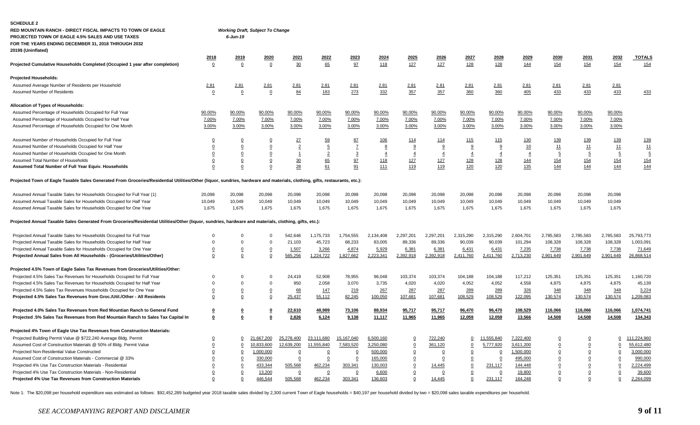| RED MOUNTAIN RANCH - DIRECT FISCAL IMPACTS TO TOWN OF EAGLE<br>PROJECTED TOWN OF EAGLE 4.5% SALES AND USE TAXES<br>FOR THE YEARS ENDING DECEMBER 31, 2018 THROUGH 2032<br>2019\$ (Uninflated) |                         | $6$ -Jun-19    | <b>Working Draft, Subject To Change</b> |                |                |                |                |                |                |                |                |                |                |                |                |                |
|-----------------------------------------------------------------------------------------------------------------------------------------------------------------------------------------------|-------------------------|----------------|-----------------------------------------|----------------|----------------|----------------|----------------|----------------|----------------|----------------|----------------|----------------|----------------|----------------|----------------|----------------|
|                                                                                                                                                                                               | 2018                    | 2019           | 2020                                    | 2021           | 2022           | 2023           | 2024           | <u> 2025</u>   | 2026           | 2027           | 2028           | 2029           | 2030           | 2031           | 2032           | <b>TOTALS</b>  |
| Projected Cumulative Households Completed (Occupied 1 year after completion)                                                                                                                  | $\overline{0}$          | $\overline{0}$ | $\Omega$                                | 30             | 65             | 97             | 118            | 127            | 127            | 128            | 128            | 144            | 154            | 154            | 154            | 154            |
| <b>Projected Households:</b>                                                                                                                                                                  |                         |                |                                         |                |                |                |                |                |                |                |                |                |                |                |                |                |
| Assumed Average Number of Residents per Household                                                                                                                                             | 2.81                    | 2.81           | <u>2.81</u>                             | 2.81           | 2.81           | <u>2.81</u>    | 2.81           | 2.81           | 2.81           | 2.81           | <u>2.81</u>    | 2.81           | 2.81           | 2.81           | 2.81           |                |
| Assumed Number of Residents                                                                                                                                                                   | $\Omega$                | $\overline{0}$ | $\Omega$                                | 84             | 183            | 273            | 332            | 357            | 357            | 360            | 360            | 405            | 433            | 433            | 433            | 433            |
| Allocation of Types of Households:                                                                                                                                                            |                         |                |                                         |                |                |                |                |                |                |                |                |                |                |                |                |                |
| Assumed Percentage of Households Occupied for Full Year                                                                                                                                       | 90.00%                  | 90.00%         | 90.00%                                  | 90.00%         | 90.00%         | 90.00%         | 90.00%         | 90.00%         | 90.00%         | 90.00%         | 90.00%         | 90.00%         | 90.00%         | 90.00%         | 90.00%         |                |
| Assumed Percentage of Households Occupied for Half Year                                                                                                                                       | 7.00%                   | 7.00%          | 7.00%                                   | 7.00%          | 7.00%          | 7.00%          | 7.00%          | 7.00%          | 7.00%          | 7.00%          | 7.00%          | 7.00%          | 7.00%          | 7.00%          | 7.00%          |                |
| Assumed Percentage of Households Occupied for One Month                                                                                                                                       | 3.00%                   | 3.00%          | 3.00%                                   | 3.00%          | 3.00%          | 3.00%          | 3.00%          | 3.00%          | 3.00%          | 3.00%          | 3.00%          | 3.00%          | 3.00%          | 3.00%          | 3.00%          |                |
| Assumed Number of Households Occupied for Full Year                                                                                                                                           | 0                       | 0              | $\overline{0}$                          | 27             | 59             | 87             | <u>106</u>     | 114            | <u>114</u>     | <u>115</u>     | 115            | 130            | 139            | 139            | 139            | <u>139</u>     |
| Assumed Number of Households Occupied for Half Year                                                                                                                                           | $\overline{0}$          | $\overline{0}$ | $\Omega$                                | $\overline{2}$ | $\overline{5}$ | $\mathbf{Z}$   | 8              | 9              | 9              | 9              | 9              | 10             | 11             | 11             | 11             | 11             |
| Assumed Number of Households Occupied for One Month                                                                                                                                           | $\overline{0}$          | 0              | 0                                       | $\overline{1}$ | $\overline{2}$ | $\overline{3}$ | $\overline{4}$ | $\overline{4}$ | $\overline{4}$ | $\overline{4}$ | $\overline{4}$ | $\overline{4}$ | $\overline{5}$ | $\overline{5}$ | $\overline{5}$ | $\overline{5}$ |
| Assumed Total Number of Households                                                                                                                                                            | $\overline{0}$          | $\overline{0}$ | $\overline{0}$                          | 30             | 65             | 97             | <u>118</u>     | 127            | 127            | 128            | 128            | 144            | <u>154</u>     | 154            | <u>154</u>     | <u>154</u>     |
| Assumed Total Number of Full Year Equiv. Households                                                                                                                                           | 0                       | 0              | $\Omega$                                | 28             | 61             | 91             | 111            | 119            | 119            | 120            | 120            | 135            | 144            | <u>144</u>     | 144            | <u>144</u>     |
| Projected Town of Eagle Taxable Sales Generated From Groceries/Residential Utilities/Other (liquor, sundries, hardware and materials, clothing, gifts, restaurants, etc.):                    |                         |                |                                         |                |                |                |                |                |                |                |                |                |                |                |                |                |
| Assumed Annual Taxable Sales for Households Occupied for Full Year (1)                                                                                                                        | 20,098                  | 20,098         | 20,098                                  | 20,098         | 20,098         | 20,098         | 20,098         | 20,098         | 20,098         | 20,098         | 20,098         | 20,098         | 20,098         | 20,098         | 20,098         |                |
| Assumed Annual Taxable Sales for Households Occupied for Half Year                                                                                                                            | 10,049                  | 10,049         | 10,049                                  | 10,049         | 10,049         | 10,049         | 10,049         | 10,049         | 10,049         | 10,049         | 10,049         | 10,049         | 10,049         | 10,049         | 10,049         |                |
| Assumed Annual Taxable Sales for Households Occupied for One Year                                                                                                                             | 1,675                   | 1,675          | 1,675                                   | 1,675          | 1,675          | 1,675          | 1,675          | 1,675          | 1,675          | 1,675          | 1,675          | 1,675          | 1,675          | 1,675          | 1,675          |                |
| Projected Annual Taxable Sales Generated From Groceries/Residential Utilities/Other (liquor, sundries, hardware and materials, clothing, gifts, etc.):                                        |                         |                |                                         |                |                |                |                |                |                |                |                |                |                |                |                |                |
| Projected Annual Taxable Sales for Households Occupied for Full Year                                                                                                                          | $\Omega$                | $\Omega$       | $\Omega$                                | 542,646        | 1,175,733      | 1,754,555      | 2,134,408      | 2,297,201      | 2,297,201      | 2,315,290      | 2,315,290      | 2,604,701      | 2,785,583      | 2,785,583      | 2,785,583      | 25,793,773     |
| Projected Annual Taxable Sales for Households Occupied for Half Year                                                                                                                          | $\Omega$                | $\mathbf 0$    | $\Omega$                                | 21,103         | 45,723         | 68,233         | 83,005         | 89,336         | 89,336         | 90,039         | 90,039         | 101,294        | 108,328        | 108,328        | 108,328        | 1,003,091      |
| Projected Annual Taxable Sales for Households Occupied for One Year                                                                                                                           | $\overline{0}$          | $\overline{0}$ | $\overline{0}$                          | 1,507          | 3,266          | 4,874          | 5,929          | 6,381          | 6,381          | 6,431          | 6,431          | 7,235          | 7,738          | 7,738          | 7,738          | 71,649         |
| Projected Annual Sales from All Households - (Groceries/Utilities/Other)                                                                                                                      | $\overline{0}$          | $\overline{0}$ | 0                                       | 565,256        | 1,224,722      | 1,827,662      | 2,223,341      | 2,392,918      | 2,392,918      | 2,411,760      | 2,411,760      | 2,713,230      | 2,901,649      | 2,901,649      | 2,901,649      | 26,868,514     |
| Projected 4.5% Town of Eagle Sales Tax Revenues from Groceries/Utilities/Other:                                                                                                               |                         |                |                                         |                |                |                |                |                |                |                |                |                |                |                |                |                |
| Projected 4.5% Sales Tax Revenues for Households Occupied for Full Year                                                                                                                       | $\Omega$                | $\Omega$       | $\Omega$                                | 24,419         | 52,908         | 78,955         | 96,048         | 103,374        | 103,374        | 104,188        | 104,188        | 117,212        | 125,351        | 125,351        | 125,351        | 1,160,720      |
| Projected 4.5% Sales Tax Revenues for Households Occupied for Half Year                                                                                                                       | $\Omega$                | $\Omega$       | $\mathbf{0}$                            | 950            | 2,058          | 3,070          | 3,735          | 4,020          | 4,020          | 4,052          | 4,052          | 4,558          | 4,875          | 4,875          | 4,875          | 45,139         |
| Projected 4.5% Sales Tax Revenues Households Occupied for One Year                                                                                                                            | $\overline{0}$          | $\overline{0}$ | $\overline{0}$                          | 68             | 147            | 219            | 267            | 287            | 287            | 289            | 289            | 326            | 348            | 348            | 348            | 3,224          |
| Projected 4.5% Sales Tax Revenues from Groc./Util./Other - All Residents                                                                                                                      | 0                       | 0              | $\overline{0}$                          | 25,437         | 55,112         | 82,245         | 100,050        | 107,681        | 107,681        | 108,529        | 108,529        | 122,095        | 130,574        | 130,574        | 130,574        | 1,209,083      |
| Projected 4.0% Sales Tax Revenues from Red Mountian Ranch to General Fund                                                                                                                     | $\overline{\mathbf{0}}$ | 0              | $\overline{\mathbf{0}}$                 | 22,610         | 48,989         | 73,106         | 88,934         | 95,717         | 95,717         | 96,470         | 96,470         | 108,529        | 116,066        | 116,066        | 116,066        | 1,074,741      |
| Projected .5% Sales Tax Revenues from Red Mountain Ranch to Sales Tax Capital In                                                                                                              | 0                       | 0              | 0                                       | 2,826          | 6,124          | 9,138          | 11,117         | 11,965         | 11,965         | 12,059         | 12,059         | 13,566         | 14,508         | 14,508         | 14,508         | 134,343        |
| Projected 4% Town of Eagle Use Tax Revenues from Construction Materials:                                                                                                                      |                         |                |                                         |                |                |                |                |                |                |                |                |                |                |                |                |                |
| Projected Building Permit Value @ \$722,240 Average Bldg. Permit                                                                                                                              | $\overline{0}$          | 0              | 667,200                                 | 25,278,400     | 23,111,680     | 15,167,040     | 6,500,160      | $\overline{0}$ | 722,240        | 0              | 11,555,840     | 7,222,400      | <u>0</u>       | 0              | 0              | 111,224,960    |
| Assumed Cost of Construction Materials @ 50% of Bldg. Permit Value                                                                                                                            | 0                       | 0              | 0,833,600                               | 12,639,200     | 11,555,840     | 7,583,520      | 3,250,080      | $\mathbf 0$    | 361,120        | 0              | 5,777,920      | 3,611,200      | 0              | 0              | 0              | 55,612,480     |
| Projected Non-Residential Value Constructed                                                                                                                                                   | $\overline{0}$          | $\overline{0}$ | 1,000,000                               | $\overline{0}$ | $\overline{0}$ | 0              | 500,000        | $\overline{0}$ | 0              | $\overline{0}$ | 0              | 1,500,000      | $\overline{0}$ | 0              | $\overline{0}$ | 3,000,000      |
| Assumed Cost of Construction Materials - Commercial @ 33%                                                                                                                                     | 0                       | $\overline{0}$ | 330,000                                 | $\overline{0}$ | 0              | 0              | 165,000        |                |                | 0              | $\overline{0}$ | 495,000        | 0              |                | $\overline{0}$ | 990,000        |
| Projected 4% Use Tax Construction Materials - Residential                                                                                                                                     | $\overline{0}$          | $\overline{0}$ | 433,344                                 | 505,568        | 462,234        | 303,341        | 130,003        | $\overline{0}$ | 14,445         | $\Omega$       | 231,117        | 144,448        | 0              | 0              | 0              | 2,224,499      |
| Projected 4% Use Tax Construction Materials - Non-Residential                                                                                                                                 | $\overline{0}$          | $\overline{0}$ | 13,200                                  | $\overline{0}$ | $\mathbf 0$    | $\mathbf 0$    | 6,600          | 0              | 0              | $\overline{0}$ | $\overline{0}$ | 19,800         | 0              | 0              | 0              | 39,600         |
| Projected 4% Use Tax Revenues from Construction Materials                                                                                                                                     | $\mathbf 0$             | $\mathbf 0$    | 446,544                                 | 505,568        | 462,234        | 303,341        | 136,603        | $\mathbf 0$    | 14,445         | $\mathbf 0$    | 231,117        | 164,248        | 0              | 0              | 0              | 2,264,099      |

Note 1: The \$20,098 per household expenditure was estimated as follows: \$92,452,289 budgeted year 2018 taxable sales divided by 2,300 current Town of Eagle households = \$40,197 per household divided by two = \$20,098 sales

SCHEDULE 2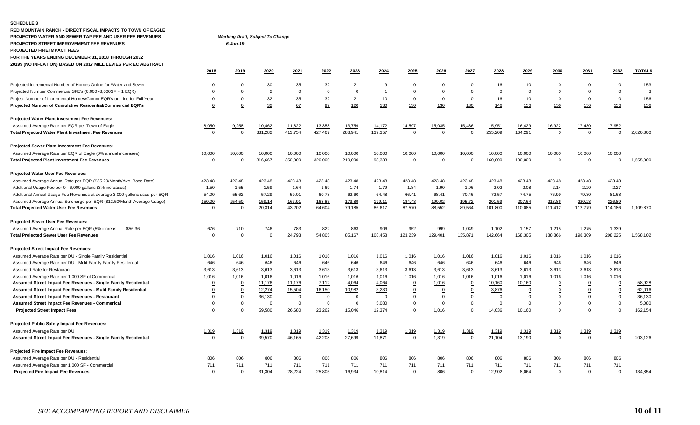#### **SCHEDULE 3**

**PROJECTED FIRE IMPACT FEES**

**RED MOUNTAIN RANCH - DIRECT FISCAL IMPACTS TO TOWN OF EAGLE PROJECTED WATER AND SEWER TAP FEE AND USER FEE REVENUES** *Working Draft, Subject To Change* **PROJECTED STREET IMPROVEMENT FEE REVENUES** *6-Jun-19*

**FOR THE YEARS ENDING DECEMBER 31, 2018 THROUGH 2032**

| 2019\$ (NO INFLATION) BASED ON 2017 MILL LEVIES PER EC ABSTRACT            |                |                |                  |                |                |                |                         |                |                |                         |                |                |                |             |                |                |
|----------------------------------------------------------------------------|----------------|----------------|------------------|----------------|----------------|----------------|-------------------------|----------------|----------------|-------------------------|----------------|----------------|----------------|-------------|----------------|----------------|
|                                                                            | 2018           | 2019           | 2020             | 2021           | 2022           | 2023           | 2024                    | 2025           | 2026           | 2027                    | 2028           | 2029           | 2030           | 2031        | 2032           | <b>TOTALS</b>  |
| Projected incremental Number of Homes Online for Water and Sewer           | $\mathbf 0$    | $\overline{0}$ | 30               | 35             | 32             | 21             | 9                       | $\Omega$       | $\Omega$       | $\overline{0}$          | <u>16</u>      | <u>10</u>      | $\overline{0}$ |             |                | 153            |
| Projected Number Commercial SFE's (6,000 -8,000SF = 1 EQR)                 | 0              | $\overline{0}$ | $\overline{2}$   | $\overline{0}$ | $\overline{0}$ | $\Omega$       | $\overline{\mathbf{1}}$ | $\overline{0}$ | $\Omega$       | $\overline{0}$          | 0              | $\overline{0}$ | $\Omega$       |             | $\overline{0}$ | $\overline{3}$ |
| Projec. Number of Incremental Homes/Comm EQR's on Line for Full Year       | $\overline{0}$ | $\overline{0}$ | $\underline{32}$ | 35             | 32             | 21             | <u>10</u>               | $\overline{0}$ | $\overline{0}$ | $\overline{0}$          | <u>16</u>      | <u>10</u>      | $\Omega$       |             | $\mathbf 0$    | <u>156</u>     |
| Projected Number of Cumulative Residential/Commercial EQR's                | 0              | 0              | 32               | 67             | 99             | 120            | 130                     | 130            | 130            | 130                     | 146            | 156            | 156            | 156         | 156            | 156            |
| Projected Water Plant Investment Fee Revenues:                             |                |                |                  |                |                |                |                         |                |                |                         |                |                |                |             |                |                |
| Assumed Average Rate per EQR per Town of Eagle                             | 8,050          | 9,258          | 10,462           | 11,822         | 13,358         | 13,759         | 14,172                  | 14,597         | 15,035         | 15,486                  | 15,951         | 16,429         | 16,922         | 17,430      | 17,952         |                |
| <b>Total Projected Water Plant Investment Fee Revenues</b>                 | $\overline{0}$ | $\mathbf 0$    | 331,282          | 413,754        | 427,467        | 288,941        | 139,357                 | $\mathbf 0$    | $\overline{0}$ | $\Omega$                | 255,209        | 164,291        | $\mathbf 0$    | $\mathbf 0$ | $\Omega$       | 2,020,300      |
| Projected Sewer Plant Investment Fee Revenues:                             |                |                |                  |                |                |                |                         |                |                |                         |                |                |                |             |                |                |
| Assumed Average Rate per EQR of Eagle (0% annual increases)                | 10,000         | 10,000         | 10,000           | 10,000         | 10,000         | 10,000         | 10,000                  | 10,000         | 10,000         | 10,000                  | 10,000         | 10,000         | 10,000         | 10,000      | 10,000         |                |
| <b>Total Projected Plant Investment Fee Revenues</b>                       | $\overline{0}$ | $\mathbf 0$    | 316,667          | 350,000        | 320,000        | 210,000        | 98,333                  | $\mathbf 0$    | $\overline{0}$ | $\Omega$                | 160,000        | 100,000        | $\mathbf 0$    | $\Omega$    | $\Omega$       | 1,555,000      |
| Projected Water User Fee Revenues:                                         |                |                |                  |                |                |                |                         |                |                |                         |                |                |                |             |                |                |
| Assumed Average Annual Rate per EQR (\$35.29/Month/Ave. Base Rate)         | 423.48         | 423.48         | 423.48           | 423.48         | 423.48         | 423.48         | 423.48                  | 423.48         | 423.48         | 423.48                  | 423.48         | 423.48         | 423.48         | 423.48      | 423.48         |                |
| Additional Usage Fee per 0 - 6,000 gallons (3% increases)                  | 1.50           | 1.55           | 1.59             | 1.64           | 1.69           | 1.74           | 1.79                    | 1.84           | 1.90           | 1.96                    | 2.02           | 2.08           | 2.14           | 2.20        | 2.27           |                |
| Additional Annual Usage Fee Revenues at average 3,000 gallons used per EQR | 54.00          | 55.62          | 57.29            | 59.01          | 60.78          | 62.60          | 64.48                   | 66.41          | 68.41          | 70.46                   | 72.57          | 74.75          | 76.99          | 79.30       | 81.68          |                |
| Assumed Average Annual Surcharge per EQR (\$12.50/Month Average Usage)     | 150.00         | 154.50         | 159.14           | 163.91         | 168.83         | 173.89         | 179.11                  | 184.48         | 190.02         | 195.72                  | 201.59         | 207.64         | 213.86         | 220.28      | 226.89         |                |
| <b>Total Projected Water User Fee Revenues</b>                             | $\overline{0}$ | 0              | 20,314           | 43,202         | 64,604         | 79,185         | 86,617                  | 87,570         | 88,552         | 89,564                  | 101,800        | 110,085        | 111,412        | 112,779     | 114,186        | 1,109,870      |
| Projected Sewer User Fee Revenues:                                         |                |                |                  |                |                |                |                         |                |                |                         |                |                |                |             |                |                |
| Assumed Average Annual Rate per EQR (5% increas<br>\$56.36                 | 676            | <u>710</u>     | <u>746</u>       | <u>783</u>     | 822            | 863            | 906                     | 952            | 999            | 1,049                   | 1,102          | 1,157          | 1,215          | 1,275       | 1,339          |                |
| <b>Total Projected Sewer User Fee Revenues</b>                             | $\overline{0}$ | $\mathbf 0$    | $\Omega$         | 24,793         | 54,805         | 85,167         | 108,458                 | 123,239        | 129,401        | 135,871                 | 142,664        | 168,305        | 188,866        | 198,309     | 208,225        | 1,568,102      |
| Projected Street Impact Fee Revenues:                                      |                |                |                  |                |                |                |                         |                |                |                         |                |                |                |             |                |                |
| Assumed Average Rate per DU - Single Family Residential                    | 1,016          | 1,016          | 1,016            | 1,016          | 1,016          | 1,016          | 1,016                   | 1,016          | 1,016          | 1,016                   | 1,016          | 1,016          | 1,016          | 1,016       | 1,016          |                |
| Assumed Average Rate per DU - Mulit Family Family Residential              | 646            | 646            | 646              | 646            | 646            | 646            | 646                     | 646            | 646            | 646                     | 646            | 646            | 646            | 646         | 646            |                |
| Assumed Rate for Restaurant                                                | 3,613          | 3,613          | 3,613            | 3,613          | 3,613          | 3,613          | 3,613                   | 3,613          | 3,613          | 3,613                   | 3,613          | 3,613          | 3,613          | 3,613       | 3,613          |                |
| Assumed Average Rate per 1,000 SF of Commercial                            | 1,016          | 1,016          | 1,016            | 1,016          | 1,016          | 1,016          | 1,016                   | 1,016          | 1,016          | 1,016                   | 1,016          | 1,016          | 1,016          | 1,016       | 1,016          |                |
| Assumed Street Impact Fee Revenues - Single Family Residential             | $\overline{0}$ | $\overline{0}$ | 11,176           | 11,176         | 7,112          | 4,064          | 4,064                   | $\overline{0}$ | 1,016          | $\overline{0}$          | 10,160         | 10,160         | $\overline{0}$ |             | $\mathbf 0$    | 58,928         |
| Assumed Street Impact Fee Revenues - Mulit Family Residential              | $\overline{0}$ | $\overline{0}$ | 12,274           | 15,504         | 16,150         | 10,982         | 3,230                   | $\Omega$       | $\overline{0}$ | $\overline{0}$          | 3,876          | $\overline{0}$ | $\overline{0}$ |             | $\overline{0}$ | 62,016         |
| Assumed Street Impact Fee Revenues - Restaurant                            | 0              | $\overline{0}$ | 36,130           | $\overline{0}$ | $\overline{0}$ | $\overline{0}$ | $\overline{0}$          | $\Omega$       | $\Omega$       | $\overline{0}$          | $\Omega$       | 0              | $\overline{0}$ |             |                | 36,130         |
| Assumed Street Impact Fee Revenues - Commerical                            | $\overline{0}$ | $\overline{0}$ | $\Omega$         | $\overline{0}$ | $\overline{0}$ | $\overline{0}$ | 5,080                   | $\Omega$       | $\Omega$       | $\overline{0}$          | $\overline{0}$ | $\overline{0}$ | $\overline{0}$ |             |                | 5,080          |
| <b>Projected Street Impact Fees</b>                                        | $\mathbf 0$    | $\pmb{0}$      | 59,580           | 26,680         | 23,262         | 15,046         | 12,374                  | $\mathsf 0$    | 1,016          | $\mathbf 0$             | 14,036         | 10,160         | $\mathbf 0$    |             |                | 162,154        |
| Projected Public Safety Impact Fee Revenues:                               |                |                |                  |                |                |                |                         |                |                |                         |                |                |                |             |                |                |
| Assumed Average Rate per DU                                                | 1,319          | 1,319          | 1,319            | 1,319          | 1,319          | 1,319          | 1,319                   | 1,319          | 1,319          | 1,319                   | 1,319          | 1,319          | 1,319          | 1,319       | 1,319          |                |
| Assumed Street Impact Fee Revenues - Single Family Residential             | $\overline{0}$ | $\mathbf 0$    | 39,570           | 46,165         | 42,208         | 27,699         | 11,871                  | $\overline{0}$ | 1,319          | $\overline{\mathbf{0}}$ | 21,104         | 13,190         | $\mathbf 0$    | $\mathbf 0$ | $\mathbf 0$    | 203,126        |
| Projected Fire Impact Fee Revenues:                                        |                |                |                  |                |                |                |                         |                |                |                         |                |                |                |             |                |                |
| Assumed Average Rate per DU - Residential                                  | 806            | 806            | 806              | 806            | 806            | 806            | 806                     | 806            | 806            | 806                     | 806            | <u>806</u>     | 806            | 806         | 806            |                |
| Assumed Average Rate per 1,000 SF - Commercial                             | 711            | 711            | 711              | 711            | 711            | 711            | 711                     | 711            | 711            | 711                     | 711            | 711            | 711            | 711         | <b>711</b>     |                |
| <b>Projected Fire Impact Fee Revenues</b>                                  | $\overline{0}$ | $\mathbf 0$    | 31,304           | 28,224         | 25,805         | 16,934         | 10,814                  | $\overline{0}$ | 806            | $\overline{\mathbf{0}}$ | 12,902         | 8,064          | 0              | 0           | $\mathbf 0$    | 134,854        |
|                                                                            |                |                |                  |                |                |                |                         |                |                |                         |                |                |                |             |                |                |